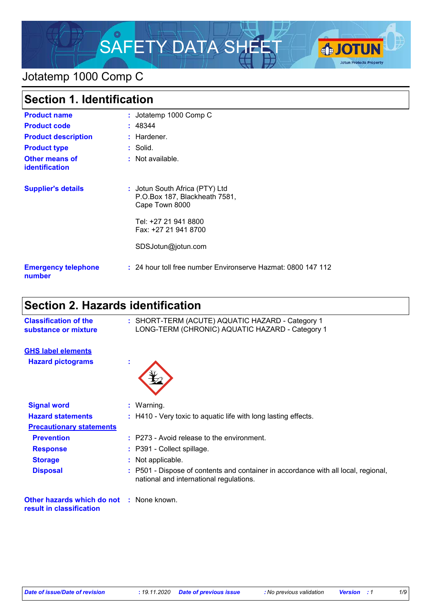

## Jotatemp 1000 Comp C

| <b>Section 1. Identification</b>        |                                                                                   |  |
|-----------------------------------------|-----------------------------------------------------------------------------------|--|
| <b>Product name</b>                     | : Jotatemp 1000 Comp C                                                            |  |
| <b>Product code</b>                     | : 48344                                                                           |  |
| <b>Product description</b>              | $:$ Hardener.                                                                     |  |
| <b>Product type</b>                     | : Solid.                                                                          |  |
| <b>Other means of</b><br>identification | : Not available.                                                                  |  |
| <b>Supplier's details</b>               | : Jotun South Africa (PTY) Ltd<br>P.O.Box 187, Blackheath 7581,<br>Cape Town 8000 |  |
|                                         | Tel: +27 21 941 8800<br>Fax: +27 21 941 8700                                      |  |
|                                         | SDSJotun@jotun.com                                                                |  |
| <b>Emergency telephone</b><br>number    | : 24 hour toll free number Environserve Hazmat: 0800 147 112                      |  |

# **Section 2. Hazards identification**

| <b>Classification of the</b><br>substance or mixture                        |   | : SHORT-TERM (ACUTE) AQUATIC HAZARD - Category 1<br>LONG-TERM (CHRONIC) AQUATIC HAZARD - Category 1                           |
|-----------------------------------------------------------------------------|---|-------------------------------------------------------------------------------------------------------------------------------|
| <b>GHS label elements</b>                                                   |   |                                                                                                                               |
| <b>Hazard pictograms</b>                                                    | × |                                                                                                                               |
| <b>Signal word</b>                                                          |   | : Warning.                                                                                                                    |
| <b>Hazard statements</b>                                                    |   | : H410 - Very toxic to aquatic life with long lasting effects.                                                                |
| <b>Precautionary statements</b>                                             |   |                                                                                                                               |
| <b>Prevention</b>                                                           |   | : P273 - Avoid release to the environment.                                                                                    |
| <b>Response</b>                                                             |   | : P391 - Collect spillage.                                                                                                    |
| <b>Storage</b>                                                              |   | : Not applicable.                                                                                                             |
| <b>Disposal</b>                                                             |   | : P501 - Dispose of contents and container in accordance with all local, regional,<br>national and international regulations. |
| <b>Other hazards which do not : None known.</b><br>result in classification |   |                                                                                                                               |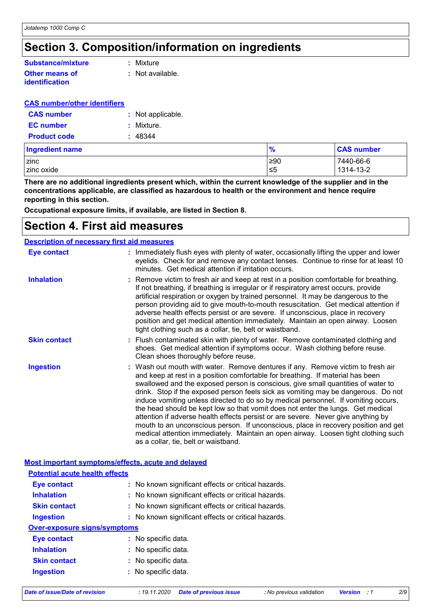## **Section 3. Composition/information on ingredients**

#### **Other means of identification Substance/mixture**

**:** Mixture

**:** Not available.

#### **CAS number/other identifiers**

| <b>CAS number</b>   | : Not applicable. |
|---------------------|-------------------|
| <b>EC</b> number    | : Mixture.        |
| <b>Product code</b> | : 48344           |

| Ingredient name | $\frac{9}{6}$ | <b>CAS number</b> |
|-----------------|---------------|-------------------|
| zinc            | ≥90           | 7440-66-6         |
| zinc oxide      | ≤5            | 1314-13-2         |

**There are no additional ingredients present which, within the current knowledge of the supplier and in the concentrations applicable, are classified as hazardous to health or the environment and hence require reporting in this section.**

**Occupational exposure limits, if available, are listed in Section 8.**

### **Section 4. First aid measures**

| <b>Description of necessary first aid measures</b> |                                                                                                                                                                                                                                                                                                                                                                                                                                                                                                                                                                                                                                                                                                                                                                                                                              |  |
|----------------------------------------------------|------------------------------------------------------------------------------------------------------------------------------------------------------------------------------------------------------------------------------------------------------------------------------------------------------------------------------------------------------------------------------------------------------------------------------------------------------------------------------------------------------------------------------------------------------------------------------------------------------------------------------------------------------------------------------------------------------------------------------------------------------------------------------------------------------------------------------|--|
| Eye contact                                        | : Immediately flush eyes with plenty of water, occasionally lifting the upper and lower<br>eyelids. Check for and remove any contact lenses. Continue to rinse for at least 10<br>minutes. Get medical attention if irritation occurs.                                                                                                                                                                                                                                                                                                                                                                                                                                                                                                                                                                                       |  |
| <b>Inhalation</b>                                  | : Remove victim to fresh air and keep at rest in a position comfortable for breathing.<br>If not breathing, if breathing is irregular or if respiratory arrest occurs, provide<br>artificial respiration or oxygen by trained personnel. It may be dangerous to the<br>person providing aid to give mouth-to-mouth resuscitation. Get medical attention if<br>adverse health effects persist or are severe. If unconscious, place in recovery<br>position and get medical attention immediately. Maintain an open airway. Loosen<br>tight clothing such as a collar, tie, belt or waistband.                                                                                                                                                                                                                                 |  |
| <b>Skin contact</b>                                | : Flush contaminated skin with plenty of water. Remove contaminated clothing and<br>shoes. Get medical attention if symptoms occur. Wash clothing before reuse.<br>Clean shoes thoroughly before reuse.                                                                                                                                                                                                                                                                                                                                                                                                                                                                                                                                                                                                                      |  |
| <b>Ingestion</b>                                   | : Wash out mouth with water. Remove dentures if any. Remove victim to fresh air<br>and keep at rest in a position comfortable for breathing. If material has been<br>swallowed and the exposed person is conscious, give small quantities of water to<br>drink. Stop if the exposed person feels sick as vomiting may be dangerous. Do not<br>induce vomiting unless directed to do so by medical personnel. If vomiting occurs,<br>the head should be kept low so that vomit does not enter the lungs. Get medical<br>attention if adverse health effects persist or are severe. Never give anything by<br>mouth to an unconscious person. If unconscious, place in recovery position and get<br>medical attention immediately. Maintain an open airway. Loosen tight clothing such<br>as a collar, tie, belt or waistband. |  |

#### **Most important symptoms/effects, acute and delayed**

| <b>Potential acute health effects</b> |                                                     |  |  |  |  |
|---------------------------------------|-----------------------------------------------------|--|--|--|--|
| Eye contact                           | : No known significant effects or critical hazards. |  |  |  |  |
| <b>Inhalation</b>                     | : No known significant effects or critical hazards. |  |  |  |  |
| <b>Skin contact</b>                   | : No known significant effects or critical hazards. |  |  |  |  |
| Ingestion                             | : No known significant effects or critical hazards. |  |  |  |  |
| <b>Over-exposure signs/symptoms</b>   |                                                     |  |  |  |  |
| Eye contact                           | : No specific data.                                 |  |  |  |  |
| <b>Inhalation</b>                     | : No specific data.                                 |  |  |  |  |
| <b>Skin contact</b>                   | : No specific data.                                 |  |  |  |  |
| <b>Ingestion</b>                      | : No specific data.                                 |  |  |  |  |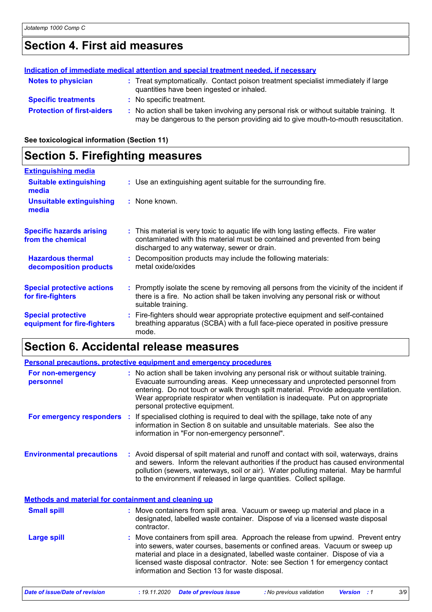# **Section 4. First aid measures**

| Indication of immediate medical attention and special treatment needed, if necessary |  |                                                                                                                                                                               |
|--------------------------------------------------------------------------------------|--|-------------------------------------------------------------------------------------------------------------------------------------------------------------------------------|
| <b>Notes to physician</b>                                                            |  | : Treat symptomatically. Contact poison treatment specialist immediately if large<br>quantities have been ingested or inhaled.                                                |
| <b>Specific treatments</b>                                                           |  | : No specific treatment.                                                                                                                                                      |
| <b>Protection of first-aiders</b>                                                    |  | : No action shall be taken involving any personal risk or without suitable training. It<br>may be dangerous to the person providing aid to give mouth-to-mouth resuscitation. |

**See toxicological information (Section 11)**

### **Section 5. Firefighting measures**

| <b>Extinguishing media</b>                               |                                                                                                                                                                                                                  |
|----------------------------------------------------------|------------------------------------------------------------------------------------------------------------------------------------------------------------------------------------------------------------------|
| <b>Suitable extinguishing</b><br>media                   | : Use an extinguishing agent suitable for the surrounding fire.                                                                                                                                                  |
| Unsuitable extinguishing<br>media                        | : None known.                                                                                                                                                                                                    |
| <b>Specific hazards arising</b><br>from the chemical     | : This material is very toxic to aquatic life with long lasting effects. Fire water<br>contaminated with this material must be contained and prevented from being<br>discharged to any waterway, sewer or drain. |
| <b>Hazardous thermal</b><br>decomposition products       | : Decomposition products may include the following materials:<br>metal oxide/oxides                                                                                                                              |
| <b>Special protective actions</b><br>for fire-fighters   | : Promptly isolate the scene by removing all persons from the vicinity of the incident if<br>there is a fire. No action shall be taken involving any personal risk or without<br>suitable training.              |
| <b>Special protective</b><br>equipment for fire-fighters | : Fire-fighters should wear appropriate protective equipment and self-contained<br>breathing apparatus (SCBA) with a full face-piece operated in positive pressure<br>mode.                                      |

## **Section 6. Accidental release measures**

| Personal precautions, protective equipment and emergency procedures |  |                                                                                                                                                                                                                                                                                                                                                                                        |
|---------------------------------------------------------------------|--|----------------------------------------------------------------------------------------------------------------------------------------------------------------------------------------------------------------------------------------------------------------------------------------------------------------------------------------------------------------------------------------|
| For non-emergency<br>personnel                                      |  | : No action shall be taken involving any personal risk or without suitable training.<br>Evacuate surrounding areas. Keep unnecessary and unprotected personnel from<br>entering. Do not touch or walk through spilt material. Provide adequate ventilation.<br>Wear appropriate respirator when ventilation is inadequate. Put on appropriate<br>personal protective equipment.        |
|                                                                     |  | <b>For emergency responders</b> : If specialised clothing is required to deal with the spillage, take note of any<br>information in Section 8 on suitable and unsuitable materials. See also the<br>information in "For non-emergency personnel".                                                                                                                                      |
| <b>Environmental precautions</b>                                    |  | : Avoid dispersal of spilt material and runoff and contact with soil, waterways, drains<br>and sewers. Inform the relevant authorities if the product has caused environmental<br>pollution (sewers, waterways, soil or air). Water polluting material. May be harmful<br>to the environment if released in large quantities. Collect spillage.                                        |
| Methods and material for containment and cleaning up                |  |                                                                                                                                                                                                                                                                                                                                                                                        |
| <b>Small spill</b>                                                  |  | : Move containers from spill area. Vacuum or sweep up material and place in a<br>designated, labelled waste container. Dispose of via a licensed waste disposal<br>contractor.                                                                                                                                                                                                         |
| <b>Large spill</b>                                                  |  | : Move containers from spill area. Approach the release from upwind. Prevent entry<br>into sewers, water courses, basements or confined areas. Vacuum or sweep up<br>material and place in a designated, labelled waste container. Dispose of via a<br>licensed waste disposal contractor. Note: see Section 1 for emergency contact<br>information and Section 13 for waste disposal. |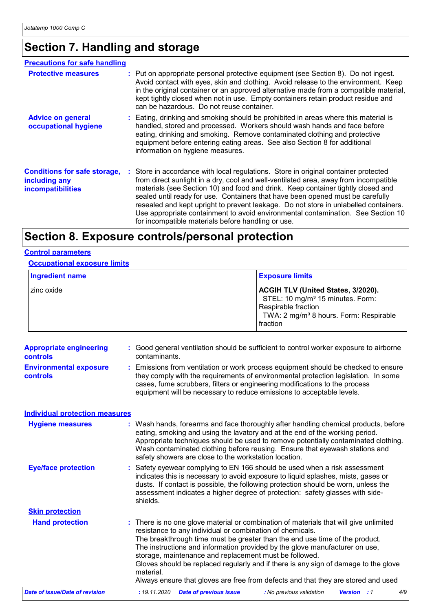# **Section 7. Handling and storage**

| <b>Precautions for safe handling</b>                                             |  |                                                                                                                                                                                                                                                                                                                                                                                                                                                                                                                                                                                     |
|----------------------------------------------------------------------------------|--|-------------------------------------------------------------------------------------------------------------------------------------------------------------------------------------------------------------------------------------------------------------------------------------------------------------------------------------------------------------------------------------------------------------------------------------------------------------------------------------------------------------------------------------------------------------------------------------|
| <b>Protective measures</b>                                                       |  | : Put on appropriate personal protective equipment (see Section 8). Do not ingest.<br>Avoid contact with eyes, skin and clothing. Avoid release to the environment. Keep<br>in the original container or an approved alternative made from a compatible material,<br>kept tightly closed when not in use. Empty containers retain product residue and<br>can be hazardous. Do not reuse container.                                                                                                                                                                                  |
| <b>Advice on general</b><br>occupational hygiene                                 |  | : Eating, drinking and smoking should be prohibited in areas where this material is<br>handled, stored and processed. Workers should wash hands and face before<br>eating, drinking and smoking. Remove contaminated clothing and protective<br>equipment before entering eating areas. See also Section 8 for additional<br>information on hygiene measures.                                                                                                                                                                                                                       |
| <b>Conditions for safe storage,</b><br>including any<br><b>incompatibilities</b> |  | : Store in accordance with local regulations. Store in original container protected<br>from direct sunlight in a dry, cool and well-ventilated area, away from incompatible<br>materials (see Section 10) and food and drink. Keep container tightly closed and<br>sealed until ready for use. Containers that have been opened must be carefully<br>resealed and kept upright to prevent leakage. Do not store in unlabelled containers.<br>Use appropriate containment to avoid environmental contamination. See Section 10<br>for incompatible materials before handling or use. |

# **Section 8. Exposure controls/personal protection**

#### **Control parameters**

**Occupational exposure limits**

| Ingredient name | <b>Exposure limits</b>                                                                                                                                                             |
|-----------------|------------------------------------------------------------------------------------------------------------------------------------------------------------------------------------|
| I zinc oxide    | <b>ACGIH TLV (United States, 3/2020).</b><br>STEL: 10 mg/m <sup>3</sup> 15 minutes. Form:<br>Respirable fraction<br>TWA: 2 mg/m <sup>3</sup> 8 hours. Form: Respirable<br>fraction |

| <b>Appropriate engineering</b><br>controls | : Good general ventilation should be sufficient to control worker exposure to airborne<br>contaminants.                                                                                                                                                                                                                                                                                                                                                                                                                                                             |
|--------------------------------------------|---------------------------------------------------------------------------------------------------------------------------------------------------------------------------------------------------------------------------------------------------------------------------------------------------------------------------------------------------------------------------------------------------------------------------------------------------------------------------------------------------------------------------------------------------------------------|
| <b>Environmental exposure</b><br>controls  | : Emissions from ventilation or work process equipment should be checked to ensure<br>they comply with the requirements of environmental protection legislation. In some<br>cases, fume scrubbers, filters or engineering modifications to the process<br>equipment will be necessary to reduce emissions to acceptable levels.                                                                                                                                                                                                                                     |
| <b>Individual protection measures</b>      |                                                                                                                                                                                                                                                                                                                                                                                                                                                                                                                                                                     |
| <b>Hygiene measures</b>                    | Wash hands, forearms and face thoroughly after handling chemical products, before<br>eating, smoking and using the lavatory and at the end of the working period.<br>Appropriate techniques should be used to remove potentially contaminated clothing.<br>Wash contaminated clothing before reusing. Ensure that eyewash stations and<br>safety showers are close to the workstation location.                                                                                                                                                                     |
| <b>Eye/face protection</b>                 | Safety eyewear complying to EN 166 should be used when a risk assessment<br>indicates this is necessary to avoid exposure to liquid splashes, mists, gases or<br>dusts. If contact is possible, the following protection should be worn, unless the<br>assessment indicates a higher degree of protection: safety glasses with side-<br>shields.                                                                                                                                                                                                                    |
| <b>Skin protection</b>                     |                                                                                                                                                                                                                                                                                                                                                                                                                                                                                                                                                                     |
| <b>Hand protection</b>                     | : There is no one glove material or combination of materials that will give unlimited<br>resistance to any individual or combination of chemicals.<br>The breakthrough time must be greater than the end use time of the product.<br>The instructions and information provided by the glove manufacturer on use,<br>storage, maintenance and replacement must be followed.<br>Gloves should be replaced regularly and if there is any sign of damage to the glove<br>material.<br>Always ensure that gloves are free from defects and that they are stored and used |
| <b>Date of issue/Date of revision</b>      | : 19.11.2020<br><b>Date of previous issue</b><br>: No previous validation<br><b>Version</b> : 1<br>4/9                                                                                                                                                                                                                                                                                                                                                                                                                                                              |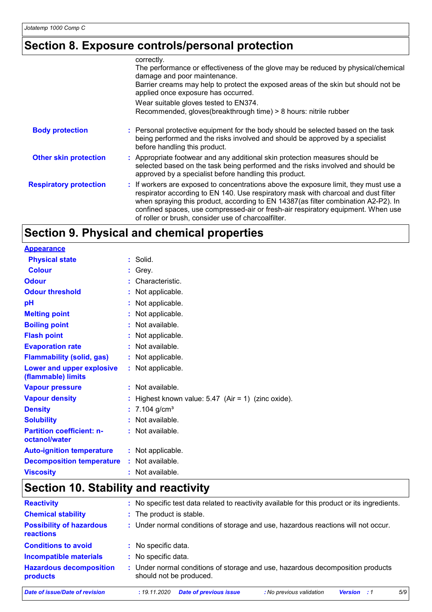# **Section 8. Exposure controls/personal protection**

|                               | correctly.<br>The performance or effectiveness of the glove may be reduced by physical/chemical<br>damage and poor maintenance.<br>Barrier creams may help to protect the exposed areas of the skin but should not be<br>applied once exposure has occurred.                                                                                                                                                |
|-------------------------------|-------------------------------------------------------------------------------------------------------------------------------------------------------------------------------------------------------------------------------------------------------------------------------------------------------------------------------------------------------------------------------------------------------------|
|                               | Wear suitable gloves tested to EN374.<br>Recommended, gloves(breakthrough time) > 8 hours: nitrile rubber                                                                                                                                                                                                                                                                                                   |
| <b>Body protection</b>        | : Personal protective equipment for the body should be selected based on the task<br>being performed and the risks involved and should be approved by a specialist<br>before handling this product.                                                                                                                                                                                                         |
| <b>Other skin protection</b>  | : Appropriate footwear and any additional skin protection measures should be<br>selected based on the task being performed and the risks involved and should be<br>approved by a specialist before handling this product.                                                                                                                                                                                   |
| <b>Respiratory protection</b> | : If workers are exposed to concentrations above the exposure limit, they must use a<br>respirator according to EN 140. Use respiratory mask with charcoal and dust filter<br>when spraying this product, according to EN 14387(as filter combination A2-P2). In<br>confined spaces, use compressed-air or fresh-air respiratory equipment. When use<br>of roller or brush, consider use of charcoalfilter. |

# **Section 9. Physical and chemical properties**

| <b>Appearance</b>                                 |                                                       |
|---------------------------------------------------|-------------------------------------------------------|
| <b>Physical state</b>                             | : Solid.                                              |
| <b>Colour</b>                                     | Grey.                                                 |
| <b>Odour</b>                                      | : Characteristic.                                     |
| <b>Odour threshold</b>                            | Not applicable.                                       |
| рH                                                | Not applicable.                                       |
| <b>Melting point</b>                              | Not applicable.                                       |
| <b>Boiling point</b>                              | : Not available.                                      |
| <b>Flash point</b>                                | Not applicable.                                       |
| <b>Evaporation rate</b>                           | : Not available.                                      |
| <b>Flammability (solid, gas)</b>                  | : Not applicable.                                     |
| Lower and upper explosive<br>(flammable) limits   | : Not applicable.                                     |
| <b>Vapour pressure</b>                            | $:$ Not available.                                    |
| <b>Vapour density</b>                             | : Highest known value: $5.47$ (Air = 1) (zinc oxide). |
| <b>Density</b>                                    | : $7.104$ g/cm <sup>3</sup>                           |
| <b>Solubility</b>                                 | : Not available.                                      |
| <b>Partition coefficient: n-</b><br>octanol/water | : Not available.                                      |
| <b>Auto-ignition temperature</b>                  | : Not applicable.                                     |
| <b>Decomposition temperature</b>                  | : Not available.                                      |
| <b>Viscosity</b>                                  | : Not available.                                      |

# **Section 10. Stability and reactivity**

| <b>Reactivity</b>                            | : No specific test data related to reactivity available for this product or its ingredients.              |
|----------------------------------------------|-----------------------------------------------------------------------------------------------------------|
| <b>Chemical stability</b>                    | : The product is stable.                                                                                  |
| <b>Possibility of hazardous</b><br>reactions | : Under normal conditions of storage and use, hazardous reactions will not occur.                         |
| <b>Conditions to avoid</b>                   | : No specific data.                                                                                       |
| <b>Incompatible materials</b>                | : No specific data.                                                                                       |
| <b>Hazardous decomposition</b><br>products   | : Under normal conditions of storage and use, hazardous decomposition products<br>should not be produced. |
| Date of issue/Date of revision               | 5/9<br><b>Date of previous issue</b><br>: No previous validation<br>: 19.11.2020<br><b>Version</b> : 1    |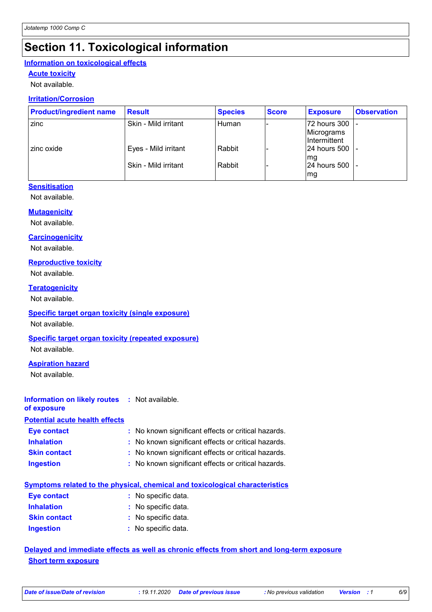# **Section 11. Toxicological information**

### **Information on toxicological effects**

### **Acute toxicity**

Not available.

### **Irritation/Corrosion**

| <b>Product/ingredient name</b> | <b>Result</b>        | <b>Species</b> | <b>Score</b> | <b>Exposure</b>                                   | <b>Observation</b> |
|--------------------------------|----------------------|----------------|--------------|---------------------------------------------------|--------------------|
| zinc                           | Skin - Mild irritant | l Human        |              | 72 hours 300<br>Micrograms<br><b>Intermittent</b> |                    |
| zinc oxide                     | Eyes - Mild irritant | Rabbit         |              | l24 hours 500<br>mg                               |                    |
|                                | Skin - Mild irritant | Rabbit         |              | 24 hours 500<br>mg                                |                    |

#### **Sensitisation**

Not available.

#### **Mutagenicity**

Not available.

#### **Carcinogenicity**

Not available.

#### **Reproductive toxicity**

Not available.

#### **Teratogenicity**

Not available.

#### **Specific target organ toxicity (single exposure)**

Not available.

#### **Specific target organ toxicity (repeated exposure)**

Not available.

#### **Aspiration hazard**

Not available.

### **Information on likely routes :** Not available.

**of exposure**

### **Potential acute health effects**

| Eye contact         | : No known significant effects or critical hazards. |
|---------------------|-----------------------------------------------------|
| <b>Inhalation</b>   | : No known significant effects or critical hazards. |
| <b>Skin contact</b> | : No known significant effects or critical hazards. |
| <b>Ingestion</b>    | : No known significant effects or critical hazards. |

### **Symptoms related to the physical, chemical and toxicological characteristics**

| <b>Eye contact</b>  | : No specific data. |
|---------------------|---------------------|
| <b>Inhalation</b>   | : No specific data. |
| <b>Skin contact</b> | : No specific data. |
| <b>Ingestion</b>    | : No specific data. |

### **Delayed and immediate effects as well as chronic effects from short and long-term exposure Short term exposure**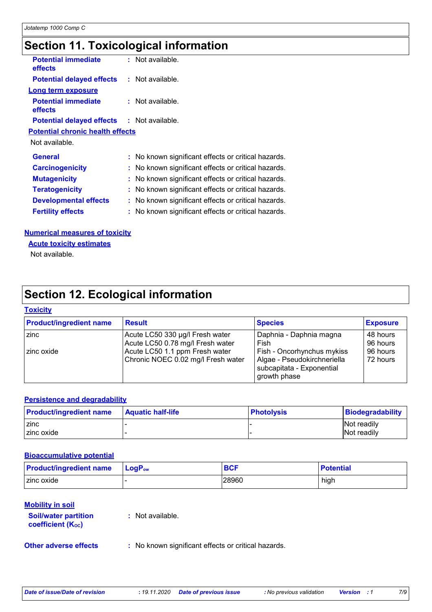# **Section 11. Toxicological information**

| <b>Potential immediate</b><br>effects             | : Not available.                                    |
|---------------------------------------------------|-----------------------------------------------------|
| <b>Potential delayed effects : Not available.</b> |                                                     |
| <b>Long term exposure</b>                         |                                                     |
| <b>Potential immediate</b><br>effects             | $:$ Not available.                                  |
| <b>Potential delayed effects : Not available.</b> |                                                     |
| <b>Potential chronic health effects</b>           |                                                     |
| Not available.                                    |                                                     |
| <b>General</b>                                    | : No known significant effects or critical hazards. |
| <b>Carcinogenicity</b>                            | : No known significant effects or critical hazards. |
| <b>Mutagenicity</b>                               | : No known significant effects or critical hazards. |
| <b>Teratogenicity</b>                             | No known significant effects or critical hazards.   |
| <b>Developmental effects</b>                      | : No known significant effects or critical hazards. |
| <b>Fertility effects</b>                          | : No known significant effects or critical hazards. |
|                                                   |                                                     |

#### **Numerical measures of toxicity**

**Acute toxicity estimates**

Not available.

## **Section 12. Ecological information**

#### **Toxicity**

| <b>Product/ingredient name</b> | <b>Result</b>                      | <b>Species</b>                                                           | <b>Exposure</b> |
|--------------------------------|------------------------------------|--------------------------------------------------------------------------|-----------------|
| zinc                           | Acute LC50 330 µg/l Fresh water    | Daphnia - Daphnia magna                                                  | 48 hours        |
|                                | Acute LC50 0.78 mg/l Fresh water   | Fish                                                                     | 96 hours        |
| zinc oxide                     | Acute LC50 1.1 ppm Fresh water     | Fish - Oncorhynchus mykiss                                               | 96 hours        |
|                                | Chronic NOEC 0.02 mg/l Fresh water | Algae - Pseudokirchneriella<br>subcapitata - Exponential<br>growth phase | 72 hours        |

#### **Persistence and degradability**

| <b>Product/ingredient name</b> | <b>Aquatic half-life</b> | <b>Photolysis</b> | Biodegradability   |
|--------------------------------|--------------------------|-------------------|--------------------|
| zinc                           |                          |                   | <b>Not readily</b> |
| zinc oxide                     |                          |                   | Not readily        |

#### **Bioaccumulative potential**

| <b>Product/ingredient name</b> | l LoqP <sub>ow</sub> | <b>BCF</b> | <b>Potential</b> |
|--------------------------------|----------------------|------------|------------------|
| zinc oxide                     |                      | 28960      | high             |

#### **Mobility in soil**

| <b>Soil/water partition</b> | : Not available. |
|-----------------------------|------------------|
| <b>coefficient (Koc)</b>    |                  |
|                             |                  |

**Other adverse effects** : No known significant effects or critical hazards.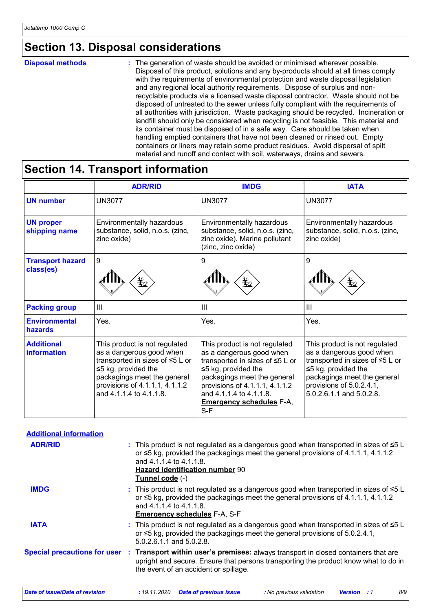## **Section 13. Disposal considerations**

#### **Disposal methods :**

The generation of waste should be avoided or minimised wherever possible. Disposal of this product, solutions and any by-products should at all times comply with the requirements of environmental protection and waste disposal legislation and any regional local authority requirements. Dispose of surplus and nonrecyclable products via a licensed waste disposal contractor. Waste should not be disposed of untreated to the sewer unless fully compliant with the requirements of all authorities with jurisdiction. Waste packaging should be recycled. Incineration or landfill should only be considered when recycling is not feasible. This material and its container must be disposed of in a safe way. Care should be taken when handling emptied containers that have not been cleaned or rinsed out. Empty containers or liners may retain some product residues. Avoid dispersal of spilt material and runoff and contact with soil, waterways, drains and sewers.

### **Section 14. Transport information**

|                                      | <b>ADR/RID</b>                                                                                                                                                                                                        | <b>IMDG</b>                                                                                                                                                                                                                                                     | <b>IATA</b>                                                                                                                                                                                                      |
|--------------------------------------|-----------------------------------------------------------------------------------------------------------------------------------------------------------------------------------------------------------------------|-----------------------------------------------------------------------------------------------------------------------------------------------------------------------------------------------------------------------------------------------------------------|------------------------------------------------------------------------------------------------------------------------------------------------------------------------------------------------------------------|
| <b>UN number</b>                     | <b>UN3077</b>                                                                                                                                                                                                         | <b>UN3077</b>                                                                                                                                                                                                                                                   | <b>UN3077</b>                                                                                                                                                                                                    |
| <b>UN proper</b><br>shipping name    | Environmentally hazardous<br>substance, solid, n.o.s. (zinc,<br>zinc oxide)                                                                                                                                           | Environmentally hazardous<br>substance, solid, n.o.s. (zinc,<br>zinc oxide). Marine pollutant<br>(zinc, zinc oxide)                                                                                                                                             | Environmentally hazardous<br>substance, solid, n.o.s. (zinc,<br>zinc oxide)                                                                                                                                      |
| <b>Transport hazard</b><br>class(es) | 9                                                                                                                                                                                                                     | 9                                                                                                                                                                                                                                                               | 9                                                                                                                                                                                                                |
| <b>Packing group</b>                 | $\mathbf{III}$                                                                                                                                                                                                        | $\mathbf{III}$                                                                                                                                                                                                                                                  | III                                                                                                                                                                                                              |
| <b>Environmental</b><br>hazards      | Yes.                                                                                                                                                                                                                  | Yes.                                                                                                                                                                                                                                                            | Yes.                                                                                                                                                                                                             |
| <b>Additional</b><br>information     | This product is not regulated<br>as a dangerous good when<br>transported in sizes of ≤5 L or<br>$\leq$ 5 kg, provided the<br>packagings meet the general<br>provisions of 4.1.1.1, 4.1.1.2<br>and 4.1.1.4 to 4.1.1.8. | This product is not regulated<br>as a dangerous good when<br>transported in sizes of ≤5 L or<br>$\leq$ 5 kg, provided the<br>packagings meet the general<br>provisions of 4.1.1.1, 4.1.1.2<br>and 4.1.1.4 to 4.1.1.8.<br><b>Emergency schedules F-A,</b><br>S-F | This product is not regulated<br>as a dangerous good when<br>transported in sizes of ≤5 L or<br>$\leq$ 5 kg, provided the<br>packagings meet the general<br>provisions of 5.0.2.4.1,<br>5.0.2.6.1.1 and 5.0.2.8. |

| <b>Additional information</b>         |                                                                                                                                                                                                                                                                         |
|---------------------------------------|-------------------------------------------------------------------------------------------------------------------------------------------------------------------------------------------------------------------------------------------------------------------------|
| <b>ADR/RID</b>                        | : This product is not regulated as a dangerous good when transported in sizes of $\leq 5$ L<br>or $\leq$ 5 kg, provided the packagings meet the general provisions of 4.1.1.1, 4.1.1.2<br>and 4.1.1.4 to 4.1.1.8.<br>Hazard identification number 90<br>Tunnel code (-) |
| <b>IMDG</b>                           | : This product is not regulated as a dangerous good when transported in sizes of $\leq 5$ L<br>or $\leq$ 5 kg, provided the packagings meet the general provisions of 4.1.1.1, 4.1.1.2<br>and 4.1.1.4 to 4.1.1.8.<br><b>Emergency schedules F-A, S-F</b>                |
| <b>IATA</b>                           | : This product is not regulated as a dangerous good when transported in sizes of $\leq 5$ L<br>or $\leq$ 5 kg, provided the packagings meet the general provisions of 5.0.2.4.1,<br>5.0.2.6.1.1 and 5.0.2.8.                                                            |
|                                       | Special precautions for user : Transport within user's premises: always transport in closed containers that are<br>upright and secure. Ensure that persons transporting the product know what to do in<br>the event of an accident or spillage.                         |
| <b>Date of issue/Date of revision</b> | 8/9<br>: 19.11.2020<br>Date of previous issue<br>: No previous validation<br><b>Version</b> : 1                                                                                                                                                                         |